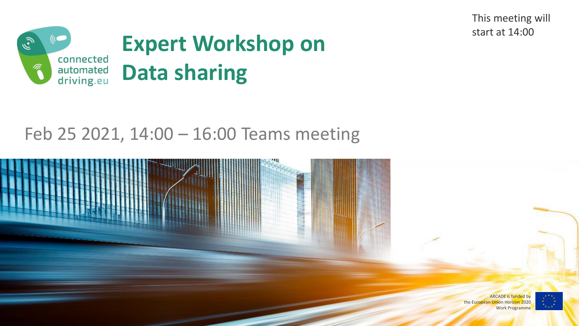This meeting will start at 14:00



#### Feb 25 2021, 14:00 – 16:00 Teams meeting



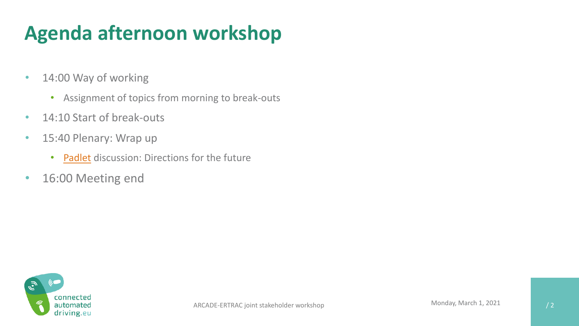### **Agenda afternoon workshop**

- 14:00 Way of working
	- Assignment of topics from morning to break-outs
- 14:10 Start of break-outs
- 15:40 Plenary: Wrap up
	- [Padlet](https://universityofleeds.padlet.org/ybarnard/tfqelqzfgd721f1k) discussion: Directions for the future
- 16:00 Meeting end

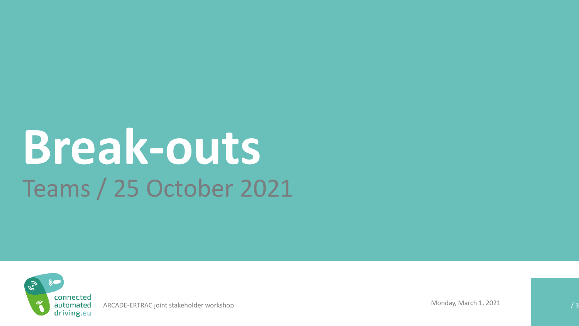# **Break-outs** Teams / 25 October 2021



ARCADE-ERTRAC joint stakeholder workshop which is a set of the set of the set of the set of the set of the set of the set of the set of the set of the set of the set of the set of the set of the set of the set of the set o

Monday, March 1, 2021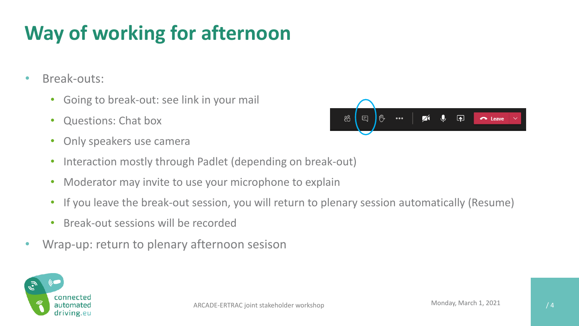## **Way of working for afternoon**

- Break-outs:
	- Going to break-out: see link in your mail
	- Questions: Chat box
	- Only speakers use camera
	- Interaction mostly through Padlet (depending on break-out)
	- Moderator may invite to use your microphone to explain
	- If you leave the break-out session, you will return to plenary session automatically (Resume)
	- Break-out sessions will be recorded
- Wrap-up: return to plenary afternoon sesison





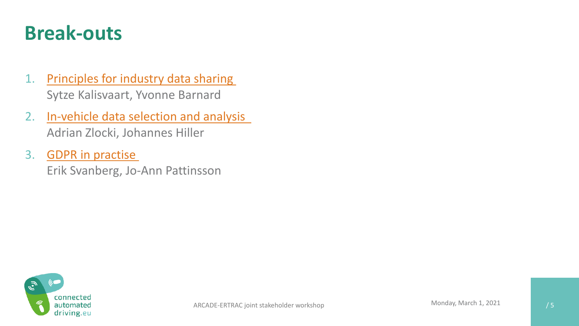#### **Break-outs**

- 1. Principles for industry [data sharing](https://teams.microsoft.com/l/meetup-join/19%3ameeting_ZGViODY0MmQtZGFlNS00NzE0LWI2NWItYTNmNDU4ZGNhODIx%40thread.v2/0?context=%7b%22Tid%22%3a%22e0f33cba-79f5-4662-82e7-0e536cda1232%22%2c%22Oid%22%3a%22bd7ce8dc-ec57-40ab-9f41-7b4ab6b3a3b2%22%7d) Sytze Kalisvaart, Yvonne Barnard
- 2. [In-vehicle data selection](https://teams.microsoft.com/l/meetup-join/19%3ameeting_NmZkNjAzNTQtZDQ3Ni00MTI5LTlkMTMtN2FmYWQ0N2Q4MzAw%40thread.v2/0?context=%7b%22Tid%22%3a%22e0f33cba-79f5-4662-82e7-0e536cda1232%22%2c%22Oid%22%3a%22bd7ce8dc-ec57-40ab-9f41-7b4ab6b3a3b2%22%7d) and analysis Adrian Zlocki, Johannes Hiller
- 3. [GDPR in practise](https://teams.microsoft.com/l/meetup-join/19%3ameeting_YjViNmJkZGItOTAwYS00YzIyLWI4MTYtMzFjZDA3Zjg2ZTAy%40thread.v2/0?context=%7b%22Tid%22%3a%22e0f33cba-79f5-4662-82e7-0e536cda1232%22%2c%22Oid%22%3a%22bd7ce8dc-ec57-40ab-9f41-7b4ab6b3a3b2%22%7d)

Erik Svanberg, Jo-Ann Pattinsson

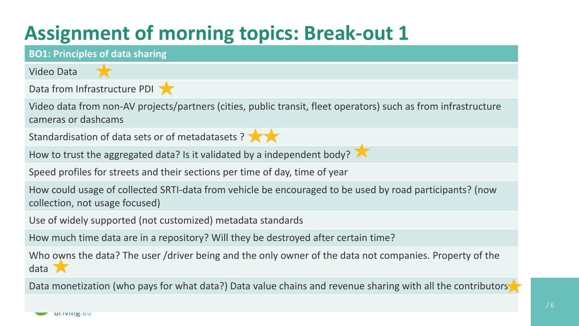#### **Assignment of morning topics: Break-out 1**



Data monetization (who pays for what data?) Data value chains and revenue sharing with all the contributors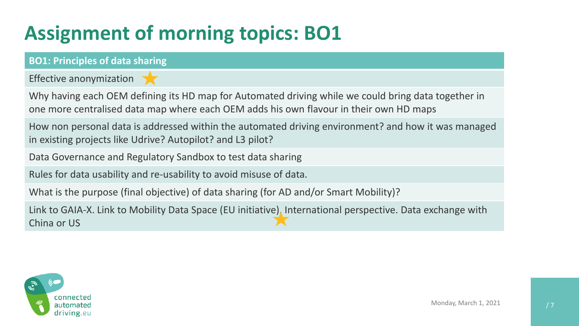### **Assignment of morning topics: BO1**

#### **BO1: Principles of data sharing**

Effective anonymization

Why having each OEM defining its HD map for Automated driving while we could bring data together in one more centralised data map where each OEM adds his own flavour in their own HD maps

How non personal data is addressed within the automated driving environment? and how it was managed in existing projects like Udrive? Autopilot? and L3 pilot?

Data Governance and Regulatory Sandbox to test data sharing

Rules for data usability and re-usability to avoid misuse of data.

What is the purpose (final objective) of data sharing (for AD and/or Smart Mobility)?

Link to GAIA-X. Link to Mobility Data Space (EU initiative). International perspective. Data exchange with China or US

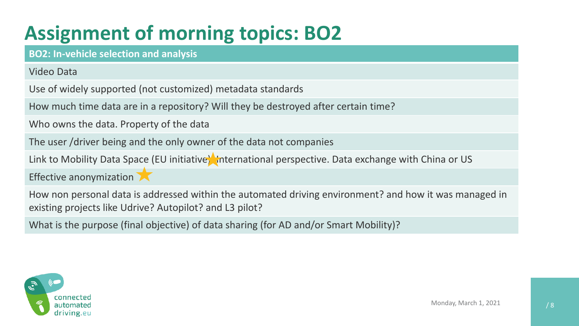## **Assignment of morning topics: BO2**

**BO2: In-vehicle selection and analysis**

Video Data

Use of widely supported (not customized) metadata standards

How much time data are in a repository? Will they be destroyed after certain time?

Who owns the data. Property of the data

The user /driver being and the only owner of the data not companies

Link to Mobility Data Space (EU initiative) international perspective. Data exchange with China or US

Effective anonymization

How non personal data is addressed within the automated driving environment? and how it was managed in existing projects like Udrive? Autopilot? and L3 pilot?

What is the purpose (final objective) of data sharing (for AD and/or Smart Mobility)?

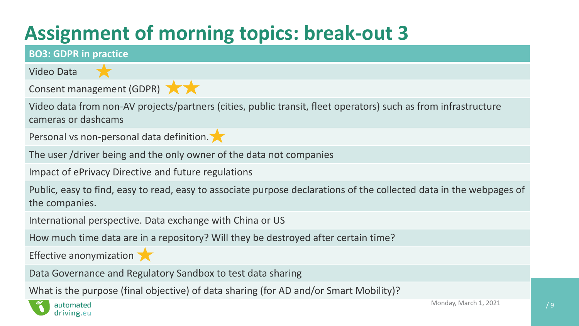## **Assignment of morning topics: break-out 3**



What is the purpose (final objective) of data sharing (for AD and/or Smart Mobility)?

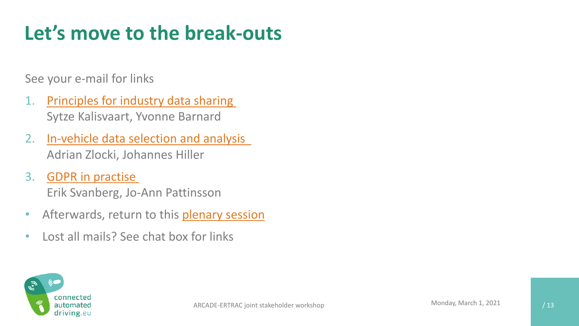#### **Let's move to the break-outs**

See your e-mail for links

- 1. Principles for industry [data sharing](https://teams.microsoft.com/l/meetup-join/19%3ameeting_ZGViODY0MmQtZGFlNS00NzE0LWI2NWItYTNmNDU4ZGNhODIx%40thread.v2/0?context=%7b%22Tid%22%3a%22e0f33cba-79f5-4662-82e7-0e536cda1232%22%2c%22Oid%22%3a%22bd7ce8dc-ec57-40ab-9f41-7b4ab6b3a3b2%22%7d) Sytze Kalisvaart, Yvonne Barnard
- 2. [In-vehicle data selection](https://teams.microsoft.com/l/meetup-join/19%3ameeting_NmZkNjAzNTQtZDQ3Ni00MTI5LTlkMTMtN2FmYWQ0N2Q4MzAw%40thread.v2/0?context=%7b%22Tid%22%3a%22e0f33cba-79f5-4662-82e7-0e536cda1232%22%2c%22Oid%22%3a%22bd7ce8dc-ec57-40ab-9f41-7b4ab6b3a3b2%22%7d) and analysis Adrian Zlocki, Johannes Hiller
- 3. [GDPR in practise](https://teams.microsoft.com/l/meetup-join/19%3ameeting_YjViNmJkZGItOTAwYS00YzIyLWI4MTYtMzFjZDA3Zjg2ZTAy%40thread.v2/0?context=%7b%22Tid%22%3a%22e0f33cba-79f5-4662-82e7-0e536cda1232%22%2c%22Oid%22%3a%22bd7ce8dc-ec57-40ab-9f41-7b4ab6b3a3b2%22%7d) Erik Svanberg, Jo-Ann Pattinsson
- Afterwards, return to this [plenary session](https://teams.microsoft.com/l/meetup-join/19%3ameeting_ZWYwMWVlNzMtZGE4NC00OTVkLWE1ODMtMWU0NzU5YTQ0YmMz%40thread.v2/0?context=%7b%22Tid%22%3a%22e0f33cba-79f5-4662-82e7-0e536cda1232%22%2c%22Oid%22%3a%22bd7ce8dc-ec57-40ab-9f41-7b4ab6b3a3b2%22%7d)
- Lost all mails? See chat box for links

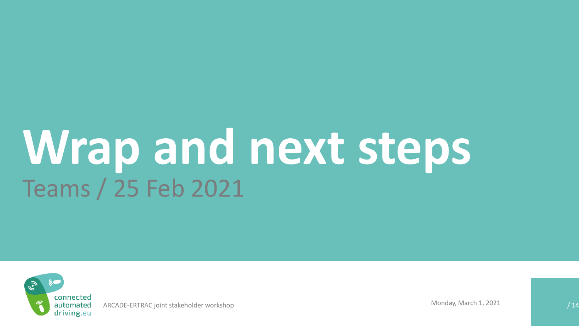# **Wrap and next steps** Teams / 25 Feb 2021



ARCADE-ERTRAC joint stakeholder workshop and a state of the control of the MOND MONDAY, March 1, 2021 And the control of the control of the control of the control of the control of the control of the control of the control

Monday, March 1, 2021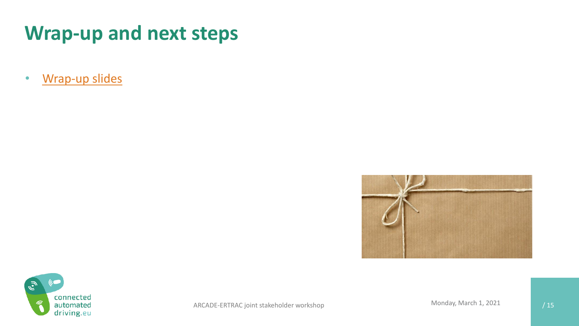#### **Wrap-up and next steps**

• [Wrap-up slides](https://erticobe.sharepoint.com/sites/ARCADE/Meetings%20%20Events/20210225%20Stakeholder%20workshop%20Data%20sharing/Wrapup%20breakouts%2025feb21.pptx?web=1)



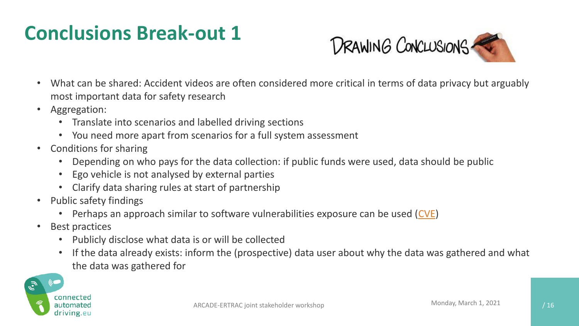#### **Conclusions Break-out 1**



- What can be shared: Accident videos are often considered more critical in terms of data privacy but arguably most important data for safety research
- Aggregation:
	- Translate into scenarios and labelled driving sections
	- You need more apart from scenarios for a full system assessment
- Conditions for sharing
	- Depending on who pays for the data collection: if public funds were used, data should be public
	- Ego vehicle is not analysed by external parties
	- Clarify data sharing rules at start of partnership
- Public safety findings
	- Perhaps an approach similar to software vulnerabilities exposure can be used [\(CVE\)](https://cve.mitre.org/about/index.html)
- Best practices
	- Publicly disclose what data is or will be collected
	- If the data already exists: inform the (prospective) data user about why the data was gathered and what the data was gathered for

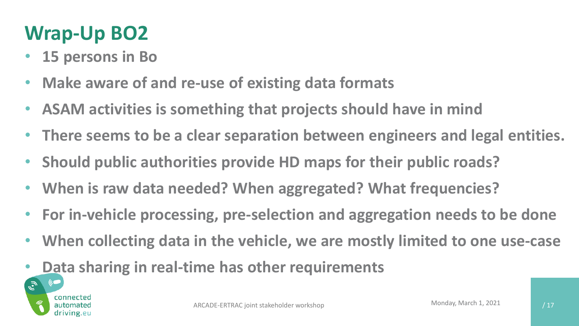#### **Wrap-Up BO2**

- **15 persons in Bo**
- **Make aware of and re-use of existing data formats**
- **ASAM activities is something that projects should have in mind**
- **There seems to be a clear separation between engineers and legal entities.**
- **Should public authorities provide HD maps for their public roads?**
- **When is raw data needed? When aggregated? What frequencies?**
- **For in-vehicle processing, pre-selection and aggregation needs to be done**
- **When collecting data in the vehicle, we are mostly limited to one use-case**
- **Data sharing in real-time has other requirements**

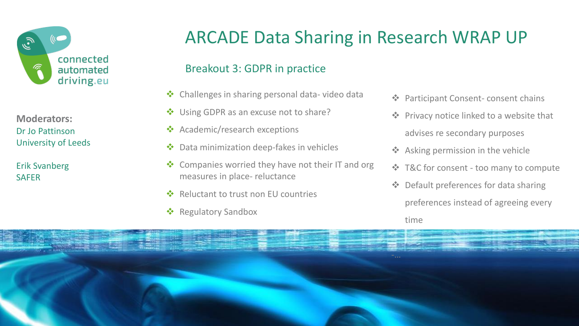

**Moderators:** Dr Jo Pattinson University of Leeds

Erik Svanberg **SAFER** 

#### ARCADE Data Sharing in Research WRAP UP

#### Breakout 3: GDPR in practice

- ❖ Challenges in sharing personal data- video data
- Using GDPR as an excuse not to share?
- ❖ Academic/research exceptions
- ❖ Data minimization deep-fakes in vehicles
- ❖ Companies worried they have not their IT and org measures in place- reluctance
- Reluctant to trust non EU countries
- ❖ Regulatory Sandbox
- ❖ Participant Consent- consent chains
- ❖ Privacy notice linked to a website that advises re secondary purposes
- ❖ Asking permission in the vehicle
- ❖ T&C for consent too many to compute
- ❖ Default preferences for data sharing

preferences instead of agreeing every